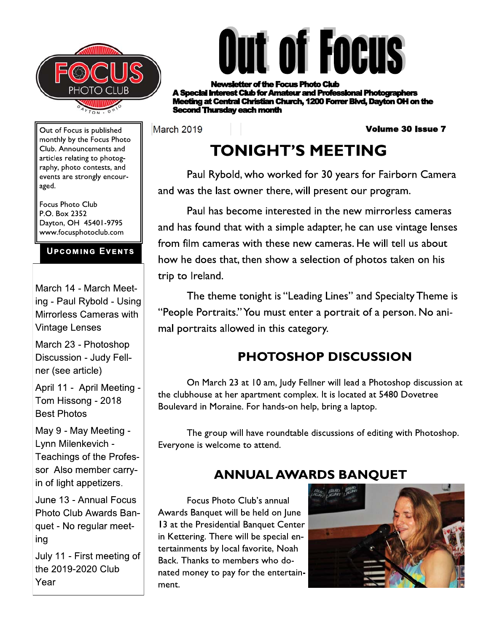



r of the Focus Photo Club **rest Club for Amateur and Professional Photographers ng at Central Christian Church, 1200 Forrer Blvd, Davton OH on the** cond Thursday each month

March 2019

**Volume 30 Issue 7** 

# **TONIGHT'S MEETING**

Paul Rybold, who worked for 30 years for Fairborn Camera and was the last owner there, will present our program.

Paul has become interested in the new mirrorless cameras and has found that with a simple adapter, he can use vintage lenses from film cameras with these new cameras. He will tell us about how he does that, then show a selection of photos taken on his trip to Ireland.

The theme tonight is "Leading Lines" and Specialty Theme is "People Portraits." You must enter a portrait of a person. No animal portraits allowed in this category.

## **PHOTOSHOP DISCUSSION**

On March 23 at 10 am, Judy Fellner will lead a Photoshop discussion at the clubhouse at her apartment complex. It is located at 5480 Dovetree Boulevard in Moraine. For hands-on help, bring a laptop.

The group will have roundtable discussions of editing with Photoshop. Everyone is welcome to attend.

## **ANNUAL AWARDS BANQUET**

Focus Photo Club's annual Awards Banquet will be held on June 13 at the Presidential Banquet Center in Kettering. There will be special entertainments by local favorite, Noah Back. Thanks to members who donated money to pay for the entertainment.



Out of Focus is published monthly by the Focus Photo Club. Announcements and articles relating to photography, photo contests, and events are strongly encouraged.

**Focus Photo Club** P.O. Box 2352 Dayton, OH 45401-9795 www.focusphotoclub.com

### **UPCOMING EVENTS**

March 14 - March Meeting - Paul Rybold - Using Mirrorless Cameras with **Vintage Lenses** 

March 23 - Photoshop Discussion - Judy Fellner (see article)

April 11 - April Meeting -Tom Hissong - 2018 **Best Photos** 

May 9 - May Meeting -Lynn Milenkevich -Teachings of the Professor Also member carryin of light appetizers.

June 13 - Annual Focus Photo Club Awards Banquet - No regular meeting

July 11 - First meeting of the 2019-2020 Club Year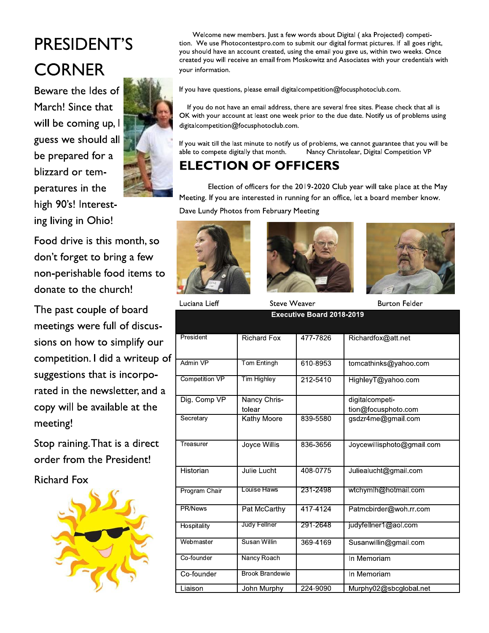# PRESIDENT'S **CORNER**

Beware the Ides of March! Since that will be coming up, I guess we should all be prepared for a blizzard or temperatures in the high 90's! Interesting living in Ohio!



Food drive is this month, so don't forget to bring a few non-perishable food items to donate to the church!

The past couple of board meetings were full of discussions on how to simplify our competition. I did a writeup of suggestions that is incorporated in the newsletter, and a copy will be available at the meeting!

Stop raining. That is a direct order from the President!

**Richard Fox** 



Welcome new members. Just a few words about Digital (aka Projected) competition. We use Photocontestpro.com to submit our digital format pictures. If all goes right, you should have an account created, using the email you gave us, within two weeks. Once created you will receive an email from Moskowitz and Associates with your credentials with your information.

If you have questions, please email digitalcompetition@focusphotoclub.com.

If you do not have an email address, there are several free sites. Please check that all is OK with your account at least one week prior to the due date. Notify us of problems using digitalcompetition@focusphotoclub.com.

If you wait till the last minute to notify us of problems, we cannot guarantee that you will be able to compete digitally that month. Nancy Christolear, Digital Competition VP

### **ELECTION OF OFFICERS**

Election of officers for the 2019-2020 Club year will take place at the May Meeting. If you are interested in running for an office, let a board member know.

Dave Lundy Photos from February Meeting







**Steve Weaver** 

**Burton Felder** 

| Executive Board 2018-2019 |                        |          |                                        |  |  |
|---------------------------|------------------------|----------|----------------------------------------|--|--|
| President                 | <b>Richard Fox</b>     | 477-7826 | Richardfox@att.net                     |  |  |
| Admin VP                  | Tom Entingh            | 610-8953 | tomcathinks@yahoo.com                  |  |  |
| Competition VP            | Tim Highley            | 212-5410 | HighleyT@yahoo.com                     |  |  |
| Dig. Comp VP              | Nancy Chris-<br>tolear |          | digitalcompeti-<br>tion@focusphoto.com |  |  |
| Secretary                 | Kathy Moore            | 839-5580 | gsdzr4me@gmail.com                     |  |  |
| Treasurer                 | Joyce Willis           | 836-3656 | Joycewillisphoto@gmail.com             |  |  |
| Historian                 | Julie Lucht            | 408-0775 | Juliealucht@gmail.com                  |  |  |
| Program Chair             | Louise Haws            | 231-2498 | wtchymlh@hotmail.com                   |  |  |
| PR/News                   | Pat McCarthy           | 417-4124 | Patmcbirder@woh.rr.com                 |  |  |
| Hospitality               | Judy Fellner           | 291-2648 | judyfellner1@aol.com                   |  |  |
| Webmaster                 | Susan Willin           | 369-4169 | Susanwillin@gmail.com                  |  |  |
| Co-founder                | Nancy Roach            |          | In Memoriam                            |  |  |
| Co-founder                | <b>Brook Brandewie</b> |          | In Memoriam                            |  |  |
| Liaison                   | John Murphy            | 224-9090 | Murphy02@sbcglobal.net                 |  |  |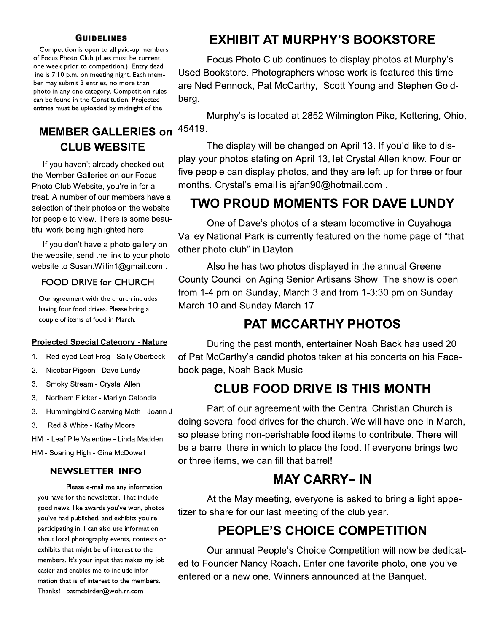#### **GUIDELINES**

Competition is open to all paid-up members of Focus Photo Club (dues must be current one week prior to competition.) Entry deadline is 7:10 p.m. on meeting night. Each member may submit 3 entries, no more than I photo in any one category. Competition rules can be found in the Constitution. Projected entries must be uploaded by midnight of the

### **MEMBER GALLERIES on CLUB WEBSITE**

If you haven't already checked out the Member Galleries on our Focus Photo Club Website, you're in for a treat. A number of our members have a selection of their photos on the website for people to view. There is some beautiful work being highlighted here.

If you don't have a photo gallery on the website, send the link to your photo website to Susan. Willin 1@gmail.com.

#### **FOOD DRIVE for CHURCH**

Our agreement with the church includes having four food drives. Please bring a couple of items of food in March.

#### **Projected Special Category - Nature**

- Red-eyed Leaf Frog Sally Oberbeck  $1.$
- Nicobar Pigeon Dave Lundy  $2.$
- Smoky Stream Crystal Allen 3.
- Northern Flicker Marilyn Calondis 3.
- Hummingbird Clearwing Moth Joann J 3.
- $3<sub>1</sub>$ Red & White - Kathy Moore
- HM Leaf Pile Valentine Linda Madden
- HM Soaring High Gina McDowell

#### **NEWSLETTER INFO**

Please e-mail me any information you have for the newsletter. That include good news, like awards you've won, photos you've had published, and exhibits you're participating in. I can also use information about local photography events, contests or exhibits that might be of interest to the members. It's your input that makes my job easier and enables me to include information that is of interest to the members. Thanks! patmcbirder@woh.rr.com

### **EXHIBIT AT MURPHY'S BOOKSTORE**

Focus Photo Club continues to display photos at Murphy's Used Bookstore. Photographers whose work is featured this time are Ned Pennock, Pat McCarthy, Scott Young and Stephen Goldberg.

Murphy's is located at 2852 Wilmington Pike, Kettering, Ohio, 45419.

The display will be changed on April 13. If you'd like to display your photos stating on April 13, let Crystal Allen know. Four or five people can display photos, and they are left up for three or four months. Crystal's email is ajfan90@hotmail.com.

### TWO PROUD MOMENTS FOR DAVE LUNDY

One of Dave's photos of a steam locomotive in Cuyahoga Valley National Park is currently featured on the home page of "that other photo club" in Dayton.

Also he has two photos displayed in the annual Greene County Council on Aging Senior Artisans Show. The show is open from 1-4 pm on Sunday, March 3 and from 1-3:30 pm on Sunday March 10 and Sunday March 17.

### **PAT MCCARTHY PHOTOS**

During the past month, entertainer Noah Back has used 20 of Pat McCarthy's candid photos taken at his concerts on his Facebook page, Noah Back Music.

### **CLUB FOOD DRIVE IS THIS MONTH**

Part of our agreement with the Central Christian Church is doing several food drives for the church. We will have one in March, so please bring non-perishable food items to contribute. There will be a barrel there in which to place the food. If everyone brings two or three items, we can fill that barrel!

### **MAY CARRY-IN**

At the May meeting, everyone is asked to bring a light appetizer to share for our last meeting of the club year.

### **PEOPLE'S CHOICE COMPETITION**

Our annual People's Choice Competition will now be dedicated to Founder Nancy Roach. Enter one favorite photo, one you've entered or a new one. Winners announced at the Banquet.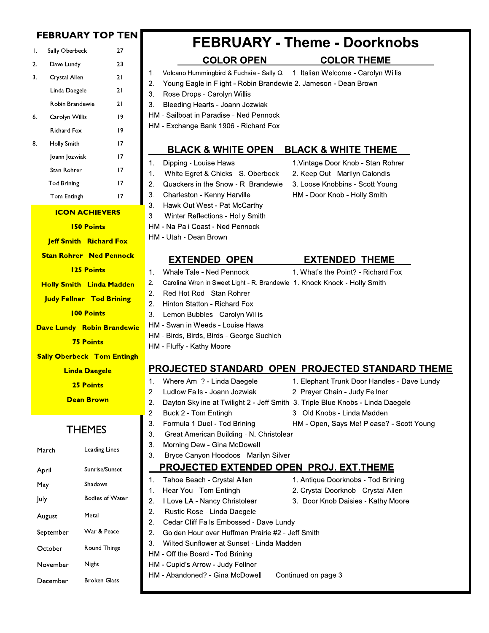| <b>FEBRUARY TOP TEN</b>                                   |                    |                                                                       | <b>FEBRUARY - Theme - Doorknobs</b>                                                                             |  |  |
|-----------------------------------------------------------|--------------------|-----------------------------------------------------------------------|-----------------------------------------------------------------------------------------------------------------|--|--|
| Τ.                                                        | Sally Oberbeck     | 27                                                                    |                                                                                                                 |  |  |
| 2.                                                        | Dave Lundy         | 23                                                                    | <b>COLOR OPEN</b><br><b>COLOR THEME</b>                                                                         |  |  |
| 3.                                                        | Crystal Allen      | 21                                                                    | Volcano Hummingbird & Fuchsia - Sally O. 1. Italian Welcome - Carolyn Willis<br>1.                              |  |  |
|                                                           | Linda Daegele      | 21                                                                    | Young Eagle in Flight - Robin Brandewie 2. Jameson - Dean Brown<br>2.                                           |  |  |
|                                                           | Robin Brandewie    | 21                                                                    | Rose Drops - Carolyn Willis<br>3.<br>Bleeding Hearts - Joann Jozwiak<br>3.                                      |  |  |
| 6.                                                        | Carolyn Willis     | 9                                                                     | HM - Sailboat in Paradise - Ned Pennock                                                                         |  |  |
|                                                           | <b>Richard Fox</b> | 19                                                                    | HM - Exchange Bank 1906 - Richard Fox                                                                           |  |  |
|                                                           |                    |                                                                       |                                                                                                                 |  |  |
| 8.                                                        | Holly Smith        | 17                                                                    | <b>BLACK &amp; WHITE OPEN</b><br><b>BLACK &amp; WHITE THEME</b>                                                 |  |  |
|                                                           | Joann Jozwiak      | 17                                                                    | Dipping - Louise Haws<br>1. Vintage Door Knob - Stan Rohrer<br>1.                                               |  |  |
|                                                           | Stan Rohrer        | 17                                                                    | White Egret & Chicks - S. Oberbeck<br>2. Keep Out - Marilyn Calondis<br>1.                                      |  |  |
|                                                           | <b>Tod Brining</b> | 17                                                                    | Quackers in the Snow - R. Brandewie<br>3. Loose Knobbins - Scott Young<br>2.                                    |  |  |
|                                                           | Tom Entingh        | 17                                                                    | 3.<br>Charleston - Kenny Harville<br>HM - Door Knob - Holly Smith                                               |  |  |
| <b>ICON ACHIEVERS</b>                                     |                    |                                                                       | 3.<br>Hawk Out West - Pat McCarthy<br>3.<br>Winter Reflections - Holly Smith                                    |  |  |
| <b>150 Points</b>                                         |                    |                                                                       | HM - Na Pali Coast - Ned Pennock                                                                                |  |  |
| <b>Jeff Smith Richard Fox</b>                             |                    |                                                                       | HM - Utah - Dean Brown                                                                                          |  |  |
|                                                           |                    | <b>Stan Rohrer Ned Pennock</b>                                        |                                                                                                                 |  |  |
|                                                           |                    | <b>125 Points</b>                                                     | <b>EXTENDED OPEN</b><br><b>EXTENDED THEME</b><br>Whale Tale - Ned Pennock<br>1. What's the Point? - Richard Fox |  |  |
|                                                           |                    |                                                                       | 1.<br>Carolina Wren in Sweet Light - R. Brandewie 1. Knock Knock - Holly Smith<br>2.                            |  |  |
| <b>Holly Smith Linda Madden</b>                           |                    |                                                                       | 2.<br>Red Hot Rod - Stan Rohrer                                                                                 |  |  |
| <b>Judy Fellner Tod Brining</b>                           |                    |                                                                       | 2.<br>Hinton Statton - Richard Fox                                                                              |  |  |
| <b>100 Points</b>                                         |                    |                                                                       | 3.<br>Lemon Bubbles - Carolyn Willis                                                                            |  |  |
| <b>Dave Lundy Robin Brandewie</b>                         |                    |                                                                       | HM - Swan in Weeds - Louise Haws                                                                                |  |  |
| <b>75 Points</b>                                          |                    |                                                                       | HM - Birds, Birds, Birds - George Suchich                                                                       |  |  |
|                                                           |                    |                                                                       | HM - Fluffy - Kathy Moore                                                                                       |  |  |
| <b>Sally Oberbeck Tom Entingh</b><br><b>Linda Daegele</b> |                    |                                                                       | PROJECTED STANDARD OPEN PROJECTED STANDARD THEME                                                                |  |  |
|                                                           |                    |                                                                       | Where Am I? - Linda Daegele<br>1. Elephant Trunk Door Handles - Dave Lundy<br>1.                                |  |  |
|                                                           |                    | <b>25 Points</b>                                                      | 2.<br>Ludlow Falls - Joann Jozwiak<br>2. Prayer Chain - Judy Fellner                                            |  |  |
|                                                           |                    | <b>Dean Brown</b>                                                     | 2.<br>Dayton Skyline at Twilight 2 - Jeff Smith 3. Triple Blue Knobs - Linda Daegele                            |  |  |
|                                                           |                    |                                                                       | 2.<br>Buck 2 - Tom Entingh<br>3. Old Knobs - Linda Madden                                                       |  |  |
|                                                           |                    | <b>THEMES</b>                                                         | 3.<br>Formula 1 Duel - Tod Brining<br>HM - Open, Says Me! Please? - Scott Young                                 |  |  |
|                                                           |                    |                                                                       | 3.<br>Great American Building - N. Christolear<br>3.<br>Morning Dew - Gina McDowell                             |  |  |
|                                                           | March              | <b>Leading Lines</b>                                                  | 3.<br>Bryce Canyon Hoodoos - Marilyn Silver                                                                     |  |  |
|                                                           |                    | Sunrise/Sunset                                                        | PROJECTED EXTENDED OPEN PROJ. EXT.THEME                                                                         |  |  |
| April                                                     |                    |                                                                       | Tahoe Beach - Crystal Allen<br>1. Antique Doorknobs - Tod Brining<br>1.                                         |  |  |
| May                                                       |                    | Shadows                                                               | Hear You - Tom Entingh<br>2. Crystal Doorknob - Crystal Allen<br>1.                                             |  |  |
| July                                                      |                    | <b>Bodies of Water</b>                                                | I Love LA - Nancy Christolear<br>3. Door Knob Daisies - Kathy Moore<br>2.                                       |  |  |
|                                                           | August             | Metal                                                                 | 2.<br>Rustic Rose - Linda Daegele                                                                               |  |  |
|                                                           |                    |                                                                       | 2.<br>Cedar Cliff Falls Embossed - Dave Lundy                                                                   |  |  |
|                                                           | September          | War & Peace<br>2.<br>Golden Hour over Huffman Prairie #2 - Jeff Smith |                                                                                                                 |  |  |
|                                                           | October            | Round Things                                                          | Wilted Sunflower at Sunset - Linda Madden<br>3.<br>HM - Off the Board - Tod Brining                             |  |  |
|                                                           | November           | Night                                                                 | HM - Cupid's Arrow - Judy Fellner                                                                               |  |  |
|                                                           | December           | <b>Broken Glass</b>                                                   | HM - Abandoned? - Gina McDowell<br>Continued on page 3                                                          |  |  |